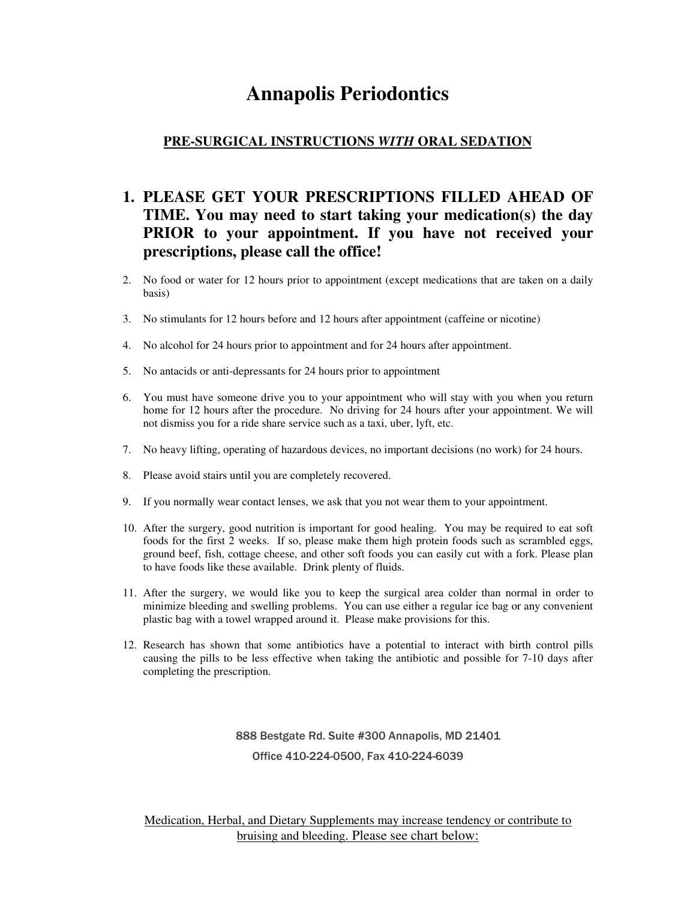## **Annapolis Periodontics**

## **PRE-SURGICAL INSTRUCTIONS** *WITH* **ORAL SEDATION**

## **1. PLEASE GET YOUR PRESCRIPTIONS FILLED AHEAD OF TIME. You may need to start taking your medication(s) the day PRIOR to your appointment. If you have not received your prescriptions, please call the office!**

- 2. No food or water for 12 hours prior to appointment (except medications that are taken on a daily basis)
- 3. No stimulants for 12 hours before and 12 hours after appointment (caffeine or nicotine)
- 4. No alcohol for 24 hours prior to appointment and for 24 hours after appointment.
- 5. No antacids or anti-depressants for 24 hours prior to appointment
- 6. You must have someone drive you to your appointment who will stay with you when you return home for 12 hours after the procedure. No driving for 24 hours after your appointment. We will not dismiss you for a ride share service such as a taxi, uber, lyft, etc.
- 7. No heavy lifting, operating of hazardous devices, no important decisions (no work) for 24 hours.
- 8. Please avoid stairs until you are completely recovered.
- 9. If you normally wear contact lenses, we ask that you not wear them to your appointment.
- 10. After the surgery, good nutrition is important for good healing. You may be required to eat soft foods for the first 2 weeks. If so, please make them high protein foods such as scrambled eggs, ground beef, fish, cottage cheese, and other soft foods you can easily cut with a fork. Please plan to have foods like these available. Drink plenty of fluids.
- 11. After the surgery, we would like you to keep the surgical area colder than normal in order to minimize bleeding and swelling problems. You can use either a regular ice bag or any convenient plastic bag with a towel wrapped around it. Please make provisions for this.
- 12. Research has shown that some antibiotics have a potential to interact with birth control pills causing the pills to be less effective when taking the antibiotic and possible for 7-10 days after completing the prescription.

888 Bestgate Rd. Suite #300 Annapolis, MD 21401 Office 410-224-0500, Fax 410-224-6039

Medication, Herbal, and Dietary Supplements may increase tendency or contribute to bruising and bleeding. Please see chart below: